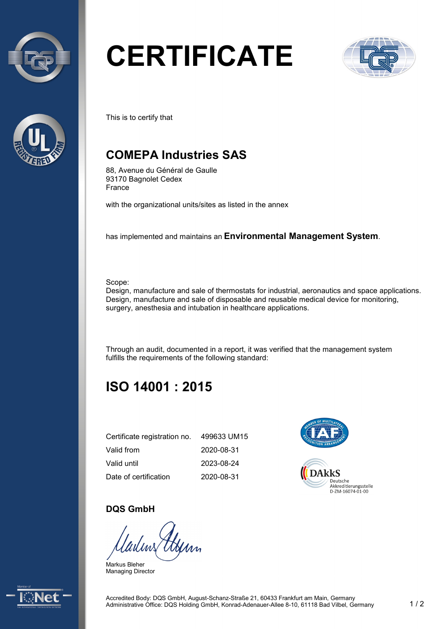



# **CERTIFICATE**



This is to certify that

## **COMEPA Industries SAS**

88, Avenue du Général de Gaulle 93170 Bagnolet Cedex France

with the organizational units/sites as listed in the annex

has implemented and maintains an **Environmental Management System**.

Scope:

Design, manufacture and sale of thermostats for industrial, aeronautics and space applications. Design, manufacture and sale of disposable and reusable medical device for monitoring, surgery, anesthesia and intubation in healthcare applications.

Through an audit, documented in a report, it was verified that the management system fulfills the requirements of the following standard:

# **ISO 14001 : 2015**

| Certificate registration no. | 499633 UM15 |
|------------------------------|-------------|
| Valid from                   | 2020-08-31  |
| Valid until                  | 2023-08-24  |
| Date of certification        | 2020-08-31  |



#### **DQS GmbH**

Markus Bleher Managing Director